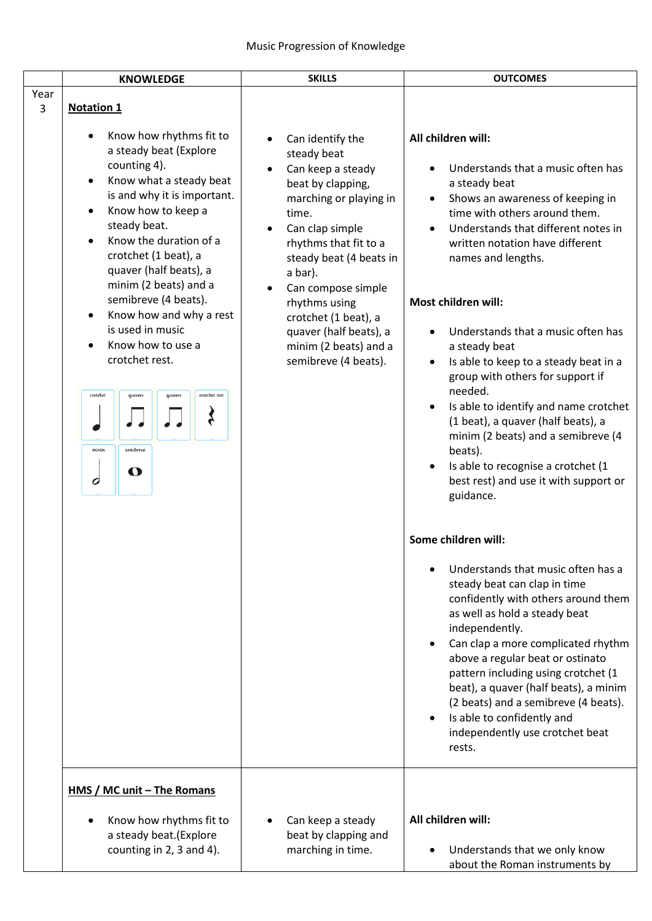|                        | <b>KNOWLEDGE</b>                                                                                                                                                                                                                                                                                                                                                                                                                                                                                                                                                 | <b>SKILLS</b>                                                                                                                                                                                                                                                                                                                                         | <b>OUTCOMES</b>                                                                                                                                                                                                                                                                                                                                                                                                                                                                                                                                                                                                                                                                                                                                                                                                                                                                                                                                                                                                                                                                                                                                                                       |
|------------------------|------------------------------------------------------------------------------------------------------------------------------------------------------------------------------------------------------------------------------------------------------------------------------------------------------------------------------------------------------------------------------------------------------------------------------------------------------------------------------------------------------------------------------------------------------------------|-------------------------------------------------------------------------------------------------------------------------------------------------------------------------------------------------------------------------------------------------------------------------------------------------------------------------------------------------------|---------------------------------------------------------------------------------------------------------------------------------------------------------------------------------------------------------------------------------------------------------------------------------------------------------------------------------------------------------------------------------------------------------------------------------------------------------------------------------------------------------------------------------------------------------------------------------------------------------------------------------------------------------------------------------------------------------------------------------------------------------------------------------------------------------------------------------------------------------------------------------------------------------------------------------------------------------------------------------------------------------------------------------------------------------------------------------------------------------------------------------------------------------------------------------------|
| Year<br>$\overline{3}$ | <b>Notation 1</b>                                                                                                                                                                                                                                                                                                                                                                                                                                                                                                                                                |                                                                                                                                                                                                                                                                                                                                                       |                                                                                                                                                                                                                                                                                                                                                                                                                                                                                                                                                                                                                                                                                                                                                                                                                                                                                                                                                                                                                                                                                                                                                                                       |
|                        | Know how rhythms fit to<br>a steady beat (Explore<br>counting 4).<br>Know what a steady beat<br>$\bullet$<br>is and why it is important.<br>Know how to keep a<br>$\bullet$<br>steady beat.<br>Know the duration of a<br>$\bullet$<br>crotchet (1 beat), a<br>quaver (half beats), a<br>minim (2 beats) and a<br>semibreve (4 beats).<br>Know how and why a rest<br>$\bullet$<br>is used in music<br>Know how to use a<br>$\bullet$<br>crotchet rest.<br>crotchet rest<br>crotchet<br>quavers<br>quavers<br>$\boldsymbol{\zeta}$<br>minim<br>semibreve<br>O<br>0 | Can identify the<br>$\bullet$<br>steady beat<br>Can keep a steady<br>beat by clapping,<br>marching or playing in<br>time.<br>Can clap simple<br>rhythms that fit to a<br>steady beat (4 beats in<br>a bar).<br>Can compose simple<br>rhythms using<br>crotchet (1 beat), a<br>quaver (half beats), a<br>minim (2 beats) and a<br>semibreve (4 beats). | All children will:<br>Understands that a music often has<br>a steady beat<br>Shows an awareness of keeping in<br>$\bullet$<br>time with others around them.<br>Understands that different notes in<br>written notation have different<br>names and lengths.<br>Most children will:<br>Understands that a music often has<br>$\bullet$<br>a steady beat<br>Is able to keep to a steady beat in a<br>$\bullet$<br>group with others for support if<br>needed.<br>Is able to identify and name crotchet<br>(1 beat), a quaver (half beats), a<br>minim (2 beats) and a semibreve (4<br>beats).<br>Is able to recognise a crotchet (1<br>best rest) and use it with support or<br>guidance.<br>Some children will:<br>Understands that music often has a<br>steady beat can clap in time<br>confidently with others around them<br>as well as hold a steady beat<br>independently.<br>Can clap a more complicated rhythm<br>$\bullet$<br>above a regular beat or ostinato<br>pattern including using crotchet (1<br>beat), a quaver (half beats), a minim<br>(2 beats) and a semibreve (4 beats).<br>Is able to confidently and<br>$\bullet$<br>independently use crotchet beat<br>rests. |
|                        | <u>HMS / MC unit - The Romans</u><br>Know how rhythms fit to                                                                                                                                                                                                                                                                                                                                                                                                                                                                                                     | Can keep a steady                                                                                                                                                                                                                                                                                                                                     | All children will:                                                                                                                                                                                                                                                                                                                                                                                                                                                                                                                                                                                                                                                                                                                                                                                                                                                                                                                                                                                                                                                                                                                                                                    |
|                        | a steady beat.(Explore<br>counting in 2, 3 and 4).                                                                                                                                                                                                                                                                                                                                                                                                                                                                                                               | beat by clapping and<br>marching in time.                                                                                                                                                                                                                                                                                                             | Understands that we only know<br>$\bullet$<br>about the Roman instruments by                                                                                                                                                                                                                                                                                                                                                                                                                                                                                                                                                                                                                                                                                                                                                                                                                                                                                                                                                                                                                                                                                                          |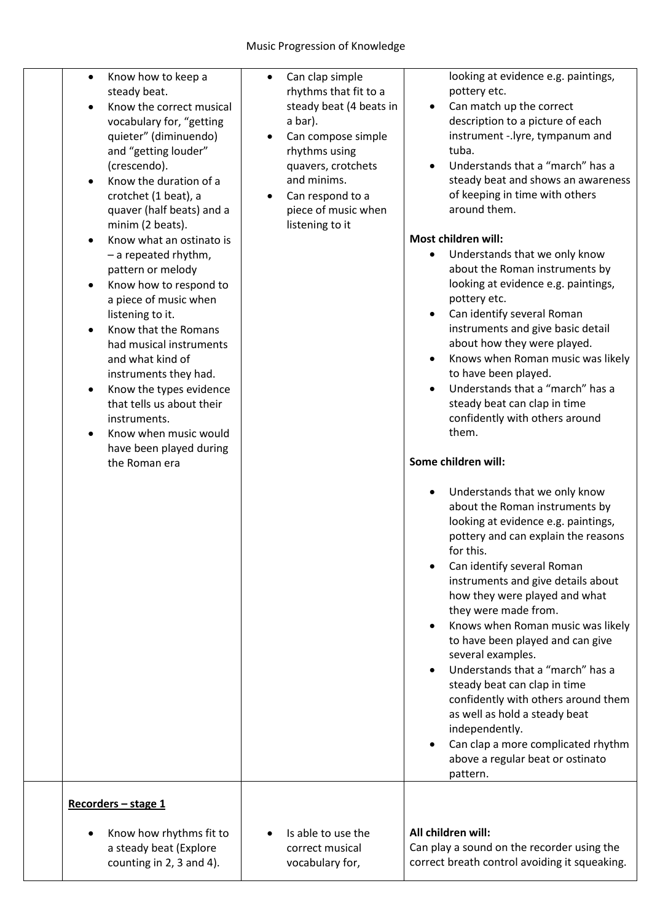| Know how to keep a<br>$\bullet$<br>steady beat.<br>Know the correct musical<br>vocabulary for, "getting<br>quieter" (diminuendo)<br>and "getting louder"<br>(crescendo).<br>Know the duration of a<br>crotchet (1 beat), a<br>quaver (half beats) and a<br>minim (2 beats).<br>Know what an ostinato is<br>$-$ a repeated rhythm,<br>pattern or melody<br>Know how to respond to<br>a piece of music when<br>listening to it.<br>Know that the Romans<br>had musical instruments<br>and what kind of<br>instruments they had.<br>Know the types evidence<br>that tells us about their<br>instruments.<br>Know when music would<br>have been played during<br>the Roman era | Can clap simple<br>$\bullet$<br>rhythms that fit to a<br>steady beat (4 beats in<br>a bar).<br>Can compose simple<br>٠<br>rhythms using<br>quavers, crotchets<br>and minims.<br>Can respond to a<br>piece of music when<br>listening to it | looking at evidence e.g. paintings,<br>pottery etc.<br>Can match up the correct<br>$\bullet$<br>description to a picture of each<br>instrument -.lyre, tympanum and<br>tuba.<br>Understands that a "march" has a<br>$\bullet$<br>steady beat and shows an awareness<br>of keeping in time with others<br>around them.<br>Most children will:<br>Understands that we only know<br>about the Roman instruments by<br>looking at evidence e.g. paintings,<br>pottery etc.<br>Can identify several Roman<br>instruments and give basic detail<br>about how they were played.<br>Knows when Roman music was likely<br>to have been played.<br>Understands that a "march" has a<br>$\bullet$<br>steady beat can clap in time<br>confidently with others around<br>them.<br>Some children will:<br>Understands that we only know<br>$\bullet$<br>about the Roman instruments by<br>looking at evidence e.g. paintings,<br>pottery and can explain the reasons<br>for this.<br>Can identify several Roman<br>instruments and give details about<br>how they were played and what<br>they were made from.<br>Knows when Roman music was likely<br>to have been played and can give<br>several examples.<br>Understands that a "march" has a<br>$\bullet$<br>steady beat can clap in time<br>confidently with others around them<br>as well as hold a steady beat<br>independently.<br>Can clap a more complicated rhythm |
|----------------------------------------------------------------------------------------------------------------------------------------------------------------------------------------------------------------------------------------------------------------------------------------------------------------------------------------------------------------------------------------------------------------------------------------------------------------------------------------------------------------------------------------------------------------------------------------------------------------------------------------------------------------------------|--------------------------------------------------------------------------------------------------------------------------------------------------------------------------------------------------------------------------------------------|-----------------------------------------------------------------------------------------------------------------------------------------------------------------------------------------------------------------------------------------------------------------------------------------------------------------------------------------------------------------------------------------------------------------------------------------------------------------------------------------------------------------------------------------------------------------------------------------------------------------------------------------------------------------------------------------------------------------------------------------------------------------------------------------------------------------------------------------------------------------------------------------------------------------------------------------------------------------------------------------------------------------------------------------------------------------------------------------------------------------------------------------------------------------------------------------------------------------------------------------------------------------------------------------------------------------------------------------------------------------------------------------------------------------|
|                                                                                                                                                                                                                                                                                                                                                                                                                                                                                                                                                                                                                                                                            |                                                                                                                                                                                                                                            | above a regular beat or ostinato<br>pattern.                                                                                                                                                                                                                                                                                                                                                                                                                                                                                                                                                                                                                                                                                                                                                                                                                                                                                                                                                                                                                                                                                                                                                                                                                                                                                                                                                                    |
| Recorders - stage 1<br>Know how rhythms fit to<br>a steady beat (Explore                                                                                                                                                                                                                                                                                                                                                                                                                                                                                                                                                                                                   | Is able to use the<br>correct musical                                                                                                                                                                                                      | All children will:<br>Can play a sound on the recorder using the                                                                                                                                                                                                                                                                                                                                                                                                                                                                                                                                                                                                                                                                                                                                                                                                                                                                                                                                                                                                                                                                                                                                                                                                                                                                                                                                                |
| counting in 2, 3 and 4).                                                                                                                                                                                                                                                                                                                                                                                                                                                                                                                                                                                                                                                   | vocabulary for,                                                                                                                                                                                                                            | correct breath control avoiding it squeaking.                                                                                                                                                                                                                                                                                                                                                                                                                                                                                                                                                                                                                                                                                                                                                                                                                                                                                                                                                                                                                                                                                                                                                                                                                                                                                                                                                                   |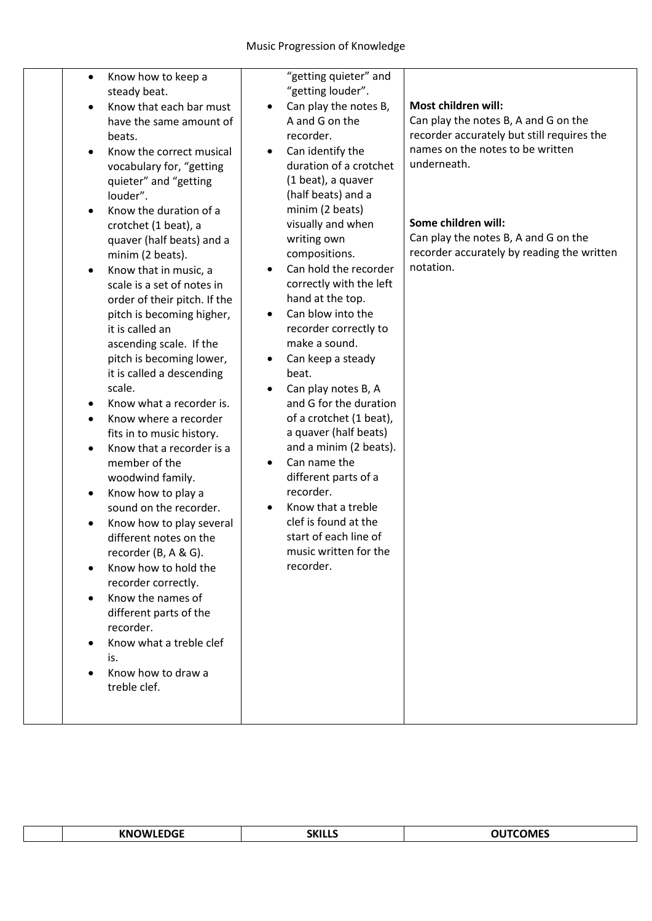| $\bullet$<br>$\bullet$<br>$\bullet$<br>$\bullet$ | Know how to keep a<br>steady beat.<br>Know that each bar must<br>have the same amount of<br>beats.<br>Know the correct musical<br>vocabulary for, "getting<br>quieter" and "getting<br>louder".<br>Know the duration of a<br>crotchet (1 beat), a<br>quaver (half beats) and a<br>minim (2 beats).<br>Know that in music, a<br>scale is a set of notes in<br>order of their pitch. If the<br>pitch is becoming higher,<br>it is called an<br>ascending scale. If the<br>pitch is becoming lower,<br>it is called a descending<br>scale.<br>Know what a recorder is.<br>Know where a recorder<br>fits in to music history.<br>Know that a recorder is a<br>member of the<br>woodwind family.<br>Know how to play a<br>sound on the recorder.<br>Know how to play several<br>different notes on the<br>recorder $(B, A, \& G)$ .<br>Know how to hold the<br>recorder correctly.<br>Know the names of<br>different parts of the<br>recorder.<br>Know what a treble clef<br>is.<br>Know how to draw a<br>treble clef. | "getting quieter" and<br>"getting louder".<br>Can play the notes B,<br>$\bullet$<br>A and G on the<br>recorder.<br>Can identify the<br>$\bullet$<br>duration of a crotchet<br>(1 beat), a quaver<br>(half beats) and a<br>minim (2 beats)<br>visually and when<br>writing own<br>compositions.<br>Can hold the recorder<br>$\bullet$<br>correctly with the left<br>hand at the top.<br>Can blow into the<br>$\bullet$<br>recorder correctly to<br>make a sound.<br>Can keep a steady<br>$\bullet$<br>beat.<br>Can play notes B, A<br>٠<br>and G for the duration<br>of a crotchet (1 beat),<br>a quaver (half beats)<br>and a minim (2 beats).<br>Can name the<br>$\bullet$<br>different parts of a<br>recorder.<br>Know that a treble<br>$\bullet$<br>clef is found at the<br>start of each line of<br>music written for the<br>recorder. | Most children will:<br>Can play the notes B, A and G on the<br>recorder accurately but still requires the<br>names on the notes to be written<br>underneath.<br>Some children will:<br>Can play the notes B, A and G on the<br>recorder accurately by reading the written<br>notation. |
|--------------------------------------------------|-------------------------------------------------------------------------------------------------------------------------------------------------------------------------------------------------------------------------------------------------------------------------------------------------------------------------------------------------------------------------------------------------------------------------------------------------------------------------------------------------------------------------------------------------------------------------------------------------------------------------------------------------------------------------------------------------------------------------------------------------------------------------------------------------------------------------------------------------------------------------------------------------------------------------------------------------------------------------------------------------------------------|--------------------------------------------------------------------------------------------------------------------------------------------------------------------------------------------------------------------------------------------------------------------------------------------------------------------------------------------------------------------------------------------------------------------------------------------------------------------------------------------------------------------------------------------------------------------------------------------------------------------------------------------------------------------------------------------------------------------------------------------------------------------------------------------------------------------------------------------|----------------------------------------------------------------------------------------------------------------------------------------------------------------------------------------------------------------------------------------------------------------------------------------|
|                                                  |                                                                                                                                                                                                                                                                                                                                                                                                                                                                                                                                                                                                                                                                                                                                                                                                                                                                                                                                                                                                                   |                                                                                                                                                                                                                                                                                                                                                                                                                                                                                                                                                                                                                                                                                                                                                                                                                                            |                                                                                                                                                                                                                                                                                        |

|  | EDGE<br>KNO<br>IWI<br>יי | 111<br>\K I<br>_____ | -----<br>NMF |
|--|--------------------------|----------------------|--------------|
|--|--------------------------|----------------------|--------------|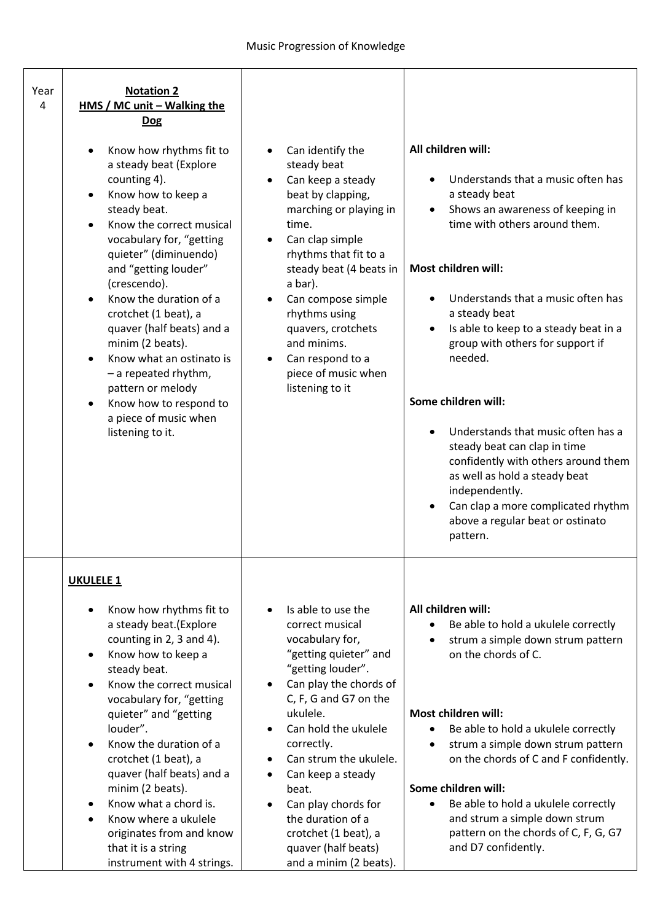| Year<br>4 | <b>Notation 2</b><br>HMS / MC unit - Walking the<br><b>Dog</b>                                                                                                                                                                                                                                                                                                                                                                                                                         |                                                                                                                                                                                                                                                                                                                                                                                          |                                                                                                                                                                                                                                                                                                                                                                                                                                                                                                                                                                                                                                                       |
|-----------|----------------------------------------------------------------------------------------------------------------------------------------------------------------------------------------------------------------------------------------------------------------------------------------------------------------------------------------------------------------------------------------------------------------------------------------------------------------------------------------|------------------------------------------------------------------------------------------------------------------------------------------------------------------------------------------------------------------------------------------------------------------------------------------------------------------------------------------------------------------------------------------|-------------------------------------------------------------------------------------------------------------------------------------------------------------------------------------------------------------------------------------------------------------------------------------------------------------------------------------------------------------------------------------------------------------------------------------------------------------------------------------------------------------------------------------------------------------------------------------------------------------------------------------------------------|
|           | Know how rhythms fit to<br>a steady beat (Explore<br>counting 4).<br>Know how to keep a<br>steady beat.<br>Know the correct musical<br>vocabulary for, "getting<br>quieter" (diminuendo)<br>and "getting louder"<br>(crescendo).<br>Know the duration of a<br>crotchet (1 beat), a<br>quaver (half beats) and a<br>minim (2 beats).<br>Know what an ostinato is<br>$-$ a repeated rhythm,<br>pattern or melody<br>Know how to respond to<br>a piece of music when<br>listening to it.  | Can identify the<br>steady beat<br>Can keep a steady<br>beat by clapping,<br>marching or playing in<br>time.<br>Can clap simple<br>rhythms that fit to a<br>steady beat (4 beats in<br>a bar).<br>Can compose simple<br>rhythms using<br>quavers, crotchets<br>and minims.<br>Can respond to a<br>piece of music when<br>listening to it                                                 | All children will:<br>Understands that a music often has<br>$\bullet$<br>a steady beat<br>Shows an awareness of keeping in<br>$\bullet$<br>time with others around them.<br>Most children will:<br>Understands that a music often has<br>a steady beat<br>Is able to keep to a steady beat in a<br>$\bullet$<br>group with others for support if<br>needed.<br>Some children will:<br>Understands that music often has a<br>$\bullet$<br>steady beat can clap in time<br>confidently with others around them<br>as well as hold a steady beat<br>independently.<br>Can clap a more complicated rhythm<br>above a regular beat or ostinato<br>pattern. |
|           | <b>UKULELE 1</b><br>Know how rhythms fit to<br>a steady beat.(Explore<br>counting in 2, 3 and 4).<br>Know how to keep a<br>$\bullet$<br>steady beat.<br>Know the correct musical<br>vocabulary for, "getting<br>quieter" and "getting<br>louder".<br>Know the duration of a<br>crotchet (1 beat), a<br>quaver (half beats) and a<br>minim (2 beats).<br>Know what a chord is.<br>Know where a ukulele<br>originates from and know<br>that it is a string<br>instrument with 4 strings. | Is able to use the<br>correct musical<br>vocabulary for,<br>"getting quieter" and<br>"getting louder".<br>Can play the chords of<br>C, F, G and G7 on the<br>ukulele.<br>Can hold the ukulele<br>correctly.<br>Can strum the ukulele.<br>Can keep a steady<br>beat.<br>Can play chords for<br>the duration of a<br>crotchet (1 beat), a<br>quaver (half beats)<br>and a minim (2 beats). | All children will:<br>Be able to hold a ukulele correctly<br>٠<br>strum a simple down strum pattern<br>on the chords of C.<br>Most children will:<br>Be able to hold a ukulele correctly<br>$\bullet$<br>strum a simple down strum pattern<br>$\bullet$<br>on the chords of C and F confidently.<br>Some children will:<br>Be able to hold a ukulele correctly<br>$\bullet$<br>and strum a simple down strum<br>pattern on the chords of C, F, G, G7<br>and D7 confidently.                                                                                                                                                                           |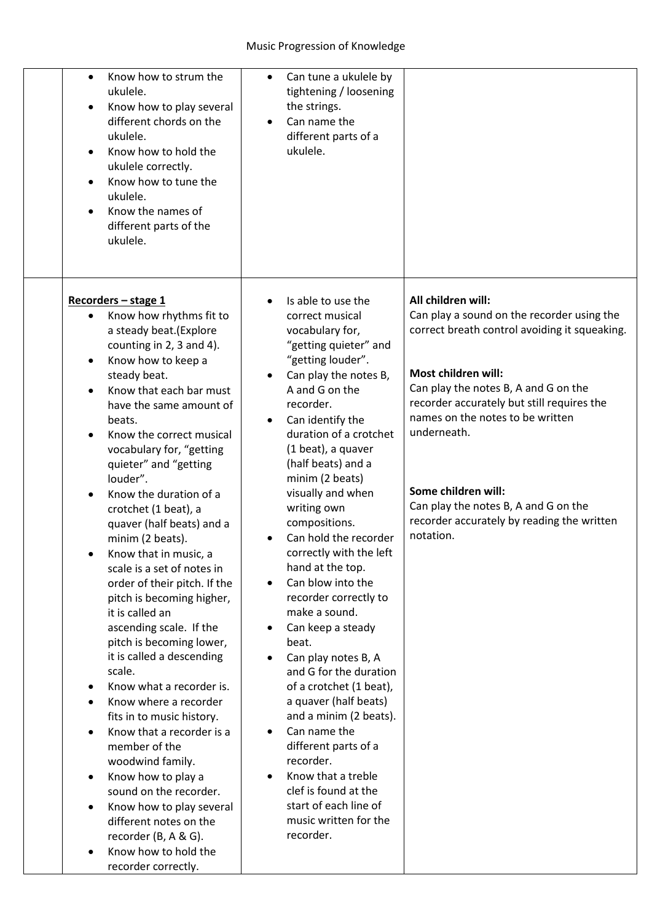| Know how to strum the<br>$\bullet$<br>ukulele.<br>Know how to play several<br>$\bullet$<br>different chords on the<br>ukulele.<br>Know how to hold the<br>$\bullet$<br>ukulele correctly.<br>Know how to tune the<br>$\bullet$<br>ukulele.<br>Know the names of<br>$\bullet$<br>different parts of the<br>ukulele.                                                                                                                                                                                                                                                                                                                                                                                                                                                                                                                                                                                                                                                                                                                                                                                    | Can tune a ukulele by<br>$\bullet$<br>tightening / loosening<br>the strings.<br>Can name the<br>$\bullet$<br>different parts of a<br>ukulele.                                                                                                                                                                                                                                                                                                                                                                                                                                                                                                                                                                                                                                                                                                                                                                  |                                                                                                                                                                                                                                                                                                                                                                                                             |
|-------------------------------------------------------------------------------------------------------------------------------------------------------------------------------------------------------------------------------------------------------------------------------------------------------------------------------------------------------------------------------------------------------------------------------------------------------------------------------------------------------------------------------------------------------------------------------------------------------------------------------------------------------------------------------------------------------------------------------------------------------------------------------------------------------------------------------------------------------------------------------------------------------------------------------------------------------------------------------------------------------------------------------------------------------------------------------------------------------|----------------------------------------------------------------------------------------------------------------------------------------------------------------------------------------------------------------------------------------------------------------------------------------------------------------------------------------------------------------------------------------------------------------------------------------------------------------------------------------------------------------------------------------------------------------------------------------------------------------------------------------------------------------------------------------------------------------------------------------------------------------------------------------------------------------------------------------------------------------------------------------------------------------|-------------------------------------------------------------------------------------------------------------------------------------------------------------------------------------------------------------------------------------------------------------------------------------------------------------------------------------------------------------------------------------------------------------|
| Recorders - stage 1<br>Know how rhythms fit to<br>a steady beat.(Explore<br>counting in 2, 3 and 4).<br>Know how to keep a<br>$\bullet$<br>steady beat.<br>Know that each bar must<br>$\bullet$<br>have the same amount of<br>beats.<br>Know the correct musical<br>$\bullet$<br>vocabulary for, "getting<br>quieter" and "getting<br>louder".<br>Know the duration of a<br>crotchet (1 beat), a<br>quaver (half beats) and a<br>minim (2 beats).<br>Know that in music, a<br>scale is a set of notes in<br>order of their pitch. If the<br>pitch is becoming higher,<br>it is called an<br>ascending scale. If the<br>pitch is becoming lower,<br>it is called a descending<br>scale.<br>Know what a recorder is.<br>$\bullet$<br>Know where a recorder<br>$\bullet$<br>fits in to music history.<br>Know that a recorder is a<br>$\bullet$<br>member of the<br>woodwind family.<br>Know how to play a<br>$\bullet$<br>sound on the recorder.<br>Know how to play several<br>$\bullet$<br>different notes on the<br>recorder (B, A & G).<br>Know how to hold the<br>$\bullet$<br>recorder correctly. | Is able to use the<br>$\bullet$<br>correct musical<br>vocabulary for,<br>"getting quieter" and<br>"getting louder".<br>Can play the notes B,<br>$\bullet$<br>A and G on the<br>recorder.<br>Can identify the<br>$\bullet$<br>duration of a crotchet<br>(1 beat), a quaver<br>(half beats) and a<br>minim (2 beats)<br>visually and when<br>writing own<br>compositions.<br>Can hold the recorder<br>correctly with the left<br>hand at the top.<br>Can blow into the<br>$\bullet$<br>recorder correctly to<br>make a sound.<br>Can keep a steady<br>$\bullet$<br>beat.<br>Can play notes B, A<br>$\bullet$<br>and G for the duration<br>of a crotchet (1 beat),<br>a quaver (half beats)<br>and a minim (2 beats).<br>Can name the<br>$\bullet$<br>different parts of a<br>recorder.<br>Know that a treble<br>$\bullet$<br>clef is found at the<br>start of each line of<br>music written for the<br>recorder. | All children will:<br>Can play a sound on the recorder using the<br>correct breath control avoiding it squeaking.<br>Most children will:<br>Can play the notes B, A and G on the<br>recorder accurately but still requires the<br>names on the notes to be written<br>underneath.<br>Some children will:<br>Can play the notes B, A and G on the<br>recorder accurately by reading the written<br>notation. |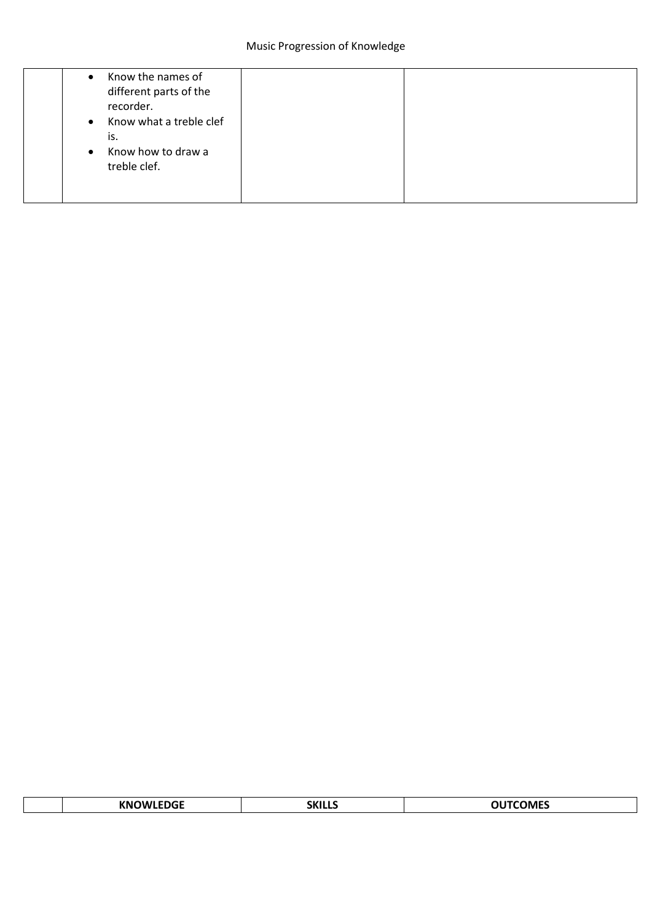| Know the names of<br>$\bullet$<br>different parts of the<br>recorder.          |  |
|--------------------------------------------------------------------------------|--|
| Know what a treble clef<br>$\bullet$<br>is.<br>Know how to draw a<br>$\bullet$ |  |
| treble clef.                                                                   |  |

|  | $- - - -$<br>.<br>-DG<br>vм.<br>IW<br>. . | <b>SKI</b><br>_____ | ͳϹϴϺϜϚ<br>---- |
|--|-------------------------------------------|---------------------|----------------|
|--|-------------------------------------------|---------------------|----------------|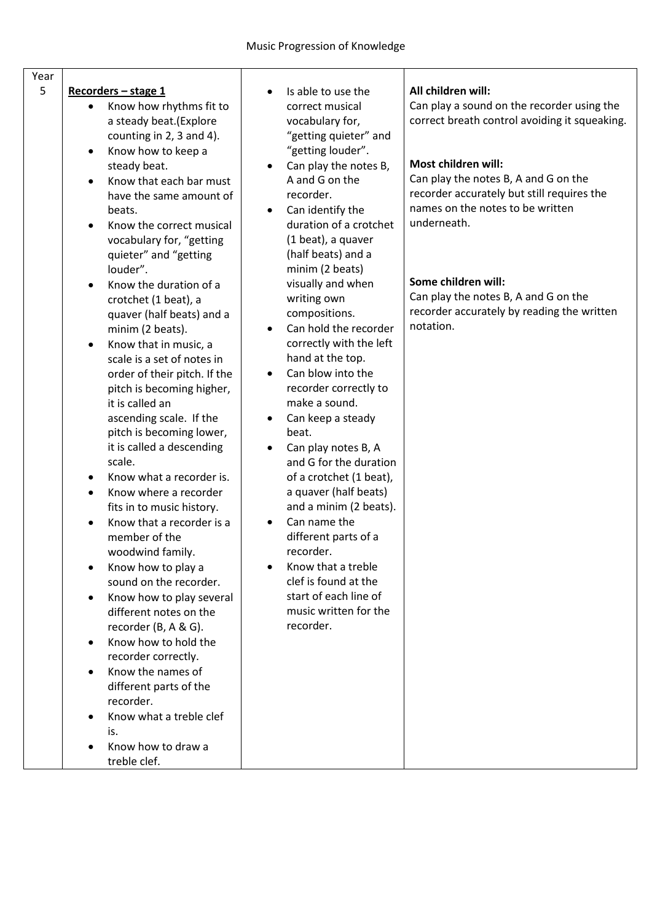| Year<br>5 | Recorders - stage 1                                                                                              | All children will:<br>Is able to use the                                                                                                                                        |
|-----------|------------------------------------------------------------------------------------------------------------------|---------------------------------------------------------------------------------------------------------------------------------------------------------------------------------|
|           | Know how rhythms fit to<br>a steady beat.(Explore<br>counting in 2, 3 and 4).<br>Know how to keep a<br>$\bullet$ | Can play a sound on the recorder using the<br>correct musical<br>correct breath control avoiding it squeaking.<br>vocabulary for,<br>"getting quieter" and<br>"getting louder". |
|           | steady beat.                                                                                                     | Most children will:<br>Can play the notes B,<br>$\bullet$                                                                                                                       |
|           | Know that each bar must                                                                                          | Can play the notes B, A and G on the<br>A and G on the                                                                                                                          |
|           | have the same amount of                                                                                          | recorder accurately but still requires the<br>recorder.                                                                                                                         |
|           | beats.                                                                                                           | names on the notes to be written<br>Can identify the<br>$\bullet$<br>underneath.                                                                                                |
|           | Know the correct musical<br>vocabulary for, "getting<br>quieter" and "getting<br>louder".                        | duration of a crotchet<br>(1 beat), a quaver<br>(half beats) and a<br>minim (2 beats)                                                                                           |
|           | Know the duration of a                                                                                           | Some children will:<br>visually and when                                                                                                                                        |
|           | crotchet (1 beat), a                                                                                             | Can play the notes B, A and G on the<br>writing own                                                                                                                             |
|           | quaver (half beats) and a                                                                                        | recorder accurately by reading the written<br>compositions.<br>notation.<br>Can hold the recorder                                                                               |
|           | minim (2 beats).<br>Know that in music, a<br>$\bullet$                                                           | $\bullet$<br>correctly with the left                                                                                                                                            |
|           | scale is a set of notes in                                                                                       | hand at the top.                                                                                                                                                                |
|           | order of their pitch. If the                                                                                     | Can blow into the                                                                                                                                                               |
|           | pitch is becoming higher,                                                                                        | recorder correctly to                                                                                                                                                           |
|           | it is called an                                                                                                  | make a sound.                                                                                                                                                                   |
|           | ascending scale. If the<br>pitch is becoming lower,                                                              | Can keep a steady<br>beat.                                                                                                                                                      |
|           | it is called a descending                                                                                        | Can play notes B, A                                                                                                                                                             |
|           | scale.                                                                                                           | and G for the duration                                                                                                                                                          |
|           | Know what a recorder is.<br>٠                                                                                    | of a crotchet (1 beat),                                                                                                                                                         |
|           | Know where a recorder                                                                                            | a quaver (half beats)                                                                                                                                                           |
|           | fits in to music history.                                                                                        | and a minim (2 beats).<br>Can name the                                                                                                                                          |
|           | Know that a recorder is a<br>member of the<br>woodwind family.                                                   | different parts of a<br>recorder.                                                                                                                                               |
|           | Know how to play a<br>$\bullet$                                                                                  | Know that a treble                                                                                                                                                              |
|           | sound on the recorder.                                                                                           | clef is found at the                                                                                                                                                            |
|           | Know how to play several<br>$\bullet$                                                                            | start of each line of                                                                                                                                                           |
|           | different notes on the                                                                                           | music written for the                                                                                                                                                           |
|           | recorder (B, A & G).                                                                                             | recorder.                                                                                                                                                                       |
|           | Know how to hold the<br>recorder correctly.                                                                      |                                                                                                                                                                                 |
|           | Know the names of                                                                                                |                                                                                                                                                                                 |
|           | different parts of the<br>recorder.                                                                              |                                                                                                                                                                                 |
|           | Know what a treble clef                                                                                          |                                                                                                                                                                                 |
|           | is.                                                                                                              |                                                                                                                                                                                 |
|           | Know how to draw a<br>treble clef.                                                                               |                                                                                                                                                                                 |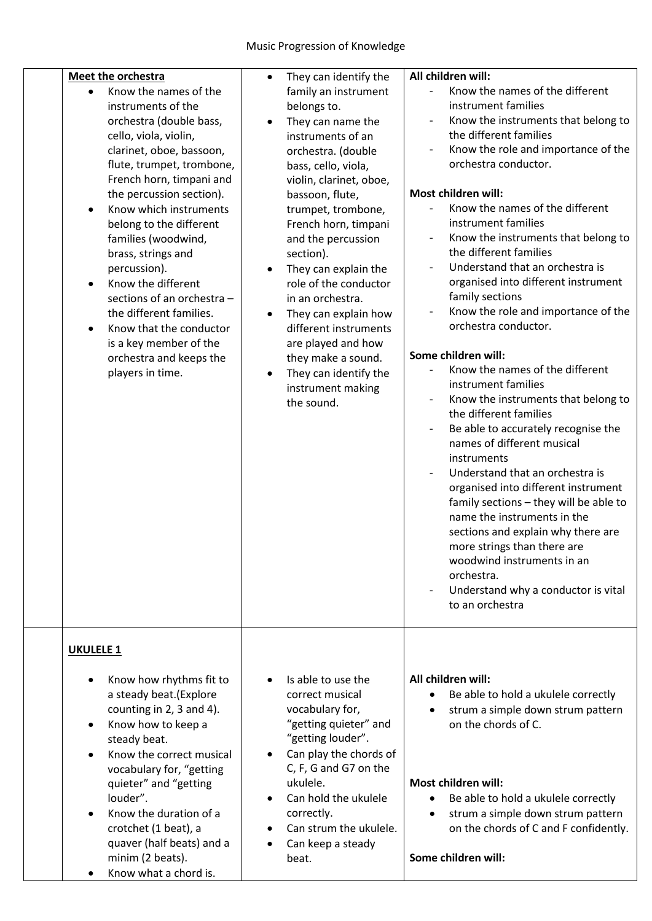| Meet the orchestra                                                                                                                                                                                                                                                                                                                                                                                                                                                                                                                                   | They can identify the                                                                                                                                                                                                                                                                                                                                                                                                                                                                                | All children will:                                                                                                                                                                                                                                                                                                                                                                                                                                                                                                                                                                                                                                                                                                                                                                                                                                                                                                                                                                                                                                                                                                                                           |
|------------------------------------------------------------------------------------------------------------------------------------------------------------------------------------------------------------------------------------------------------------------------------------------------------------------------------------------------------------------------------------------------------------------------------------------------------------------------------------------------------------------------------------------------------|------------------------------------------------------------------------------------------------------------------------------------------------------------------------------------------------------------------------------------------------------------------------------------------------------------------------------------------------------------------------------------------------------------------------------------------------------------------------------------------------------|--------------------------------------------------------------------------------------------------------------------------------------------------------------------------------------------------------------------------------------------------------------------------------------------------------------------------------------------------------------------------------------------------------------------------------------------------------------------------------------------------------------------------------------------------------------------------------------------------------------------------------------------------------------------------------------------------------------------------------------------------------------------------------------------------------------------------------------------------------------------------------------------------------------------------------------------------------------------------------------------------------------------------------------------------------------------------------------------------------------------------------------------------------------|
| Know the names of the<br>instruments of the<br>orchestra (double bass,<br>cello, viola, violin,<br>clarinet, oboe, bassoon,<br>flute, trumpet, trombone,<br>French horn, timpani and<br>the percussion section).<br>Know which instruments<br>$\bullet$<br>belong to the different<br>families (woodwind,<br>brass, strings and<br>percussion).<br>Know the different<br>٠<br>sections of an orchestra -<br>the different families.<br>Know that the conductor<br>$\bullet$<br>is a key member of the<br>orchestra and keeps the<br>players in time. | family an instrument<br>belongs to.<br>They can name the<br>$\bullet$<br>instruments of an<br>orchestra. (double<br>bass, cello, viola,<br>violin, clarinet, oboe,<br>bassoon, flute,<br>trumpet, trombone,<br>French horn, timpani<br>and the percussion<br>section).<br>They can explain the<br>role of the conductor<br>in an orchestra.<br>They can explain how<br>different instruments<br>are played and how<br>they make a sound.<br>They can identify the<br>instrument making<br>the sound. | Know the names of the different<br>instrument families<br>Know the instruments that belong to<br>$\overline{\phantom{a}}$<br>the different families<br>Know the role and importance of the<br>orchestra conductor.<br>Most children will:<br>Know the names of the different<br>instrument families<br>Know the instruments that belong to<br>the different families<br>Understand that an orchestra is<br>organised into different instrument<br>family sections<br>Know the role and importance of the<br>$\overline{\phantom{a}}$<br>orchestra conductor.<br>Some children will:<br>Know the names of the different<br>instrument families<br>Know the instruments that belong to<br>the different families<br>Be able to accurately recognise the<br>$\overline{\phantom{a}}$<br>names of different musical<br>instruments<br>Understand that an orchestra is<br>organised into different instrument<br>family sections - they will be able to<br>name the instruments in the<br>sections and explain why there are<br>more strings than there are<br>woodwind instruments in an<br>orchestra.<br>Understand why a conductor is vital<br>to an orchestra |
| <b>UKULELE 1</b>                                                                                                                                                                                                                                                                                                                                                                                                                                                                                                                                     |                                                                                                                                                                                                                                                                                                                                                                                                                                                                                                      |                                                                                                                                                                                                                                                                                                                                                                                                                                                                                                                                                                                                                                                                                                                                                                                                                                                                                                                                                                                                                                                                                                                                                              |
| Know how rhythms fit to<br>a steady beat.(Explore<br>counting in 2, 3 and 4).<br>Know how to keep a<br>$\bullet$<br>steady beat.<br>Know the correct musical<br>vocabulary for, "getting<br>quieter" and "getting<br>louder".<br>Know the duration of a<br>crotchet (1 beat), a<br>quaver (half beats) and a<br>minim (2 beats).                                                                                                                                                                                                                     | Is able to use the<br>correct musical<br>vocabulary for,<br>"getting quieter" and<br>"getting louder".<br>Can play the chords of<br>C, F, G and G7 on the<br>ukulele.<br>Can hold the ukulele<br>correctly.<br>Can strum the ukulele.<br>Can keep a steady<br>٠<br>beat.                                                                                                                                                                                                                             | All children will:<br>Be able to hold a ukulele correctly<br>$\bullet$<br>strum a simple down strum pattern<br>$\bullet$<br>on the chords of C.<br>Most children will:<br>Be able to hold a ukulele correctly<br>$\bullet$<br>strum a simple down strum pattern<br>on the chords of C and F confidently.<br>Some children will:                                                                                                                                                                                                                                                                                                                                                                                                                                                                                                                                                                                                                                                                                                                                                                                                                              |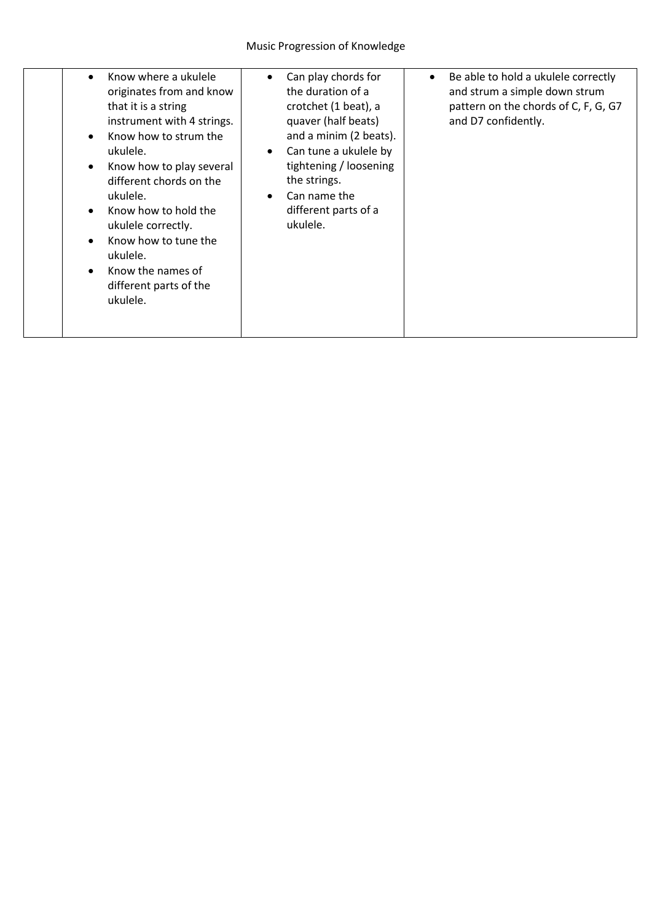| Know where a ukulele<br>originates from and know<br>that it is a string<br>instrument with 4 strings.<br>Know how to strum the<br>$\bullet$<br>ukulele.<br>Know how to play several<br>$\bullet$<br>different chords on the<br>ukulele.<br>Know how to hold the<br>$\bullet$<br>ukulele correctly.<br>Know how to tune the<br>ukulele.<br>Know the names of<br>different parts of the<br>ukulele. | Can play chords for<br>the duration of a<br>crotchet (1 beat), a<br>quaver (half beats)<br>and a minim (2 beats).<br>Can tune a ukulele by<br>$\bullet$<br>tightening / loosening<br>the strings.<br>Can name the<br>different parts of a<br>ukulele. | Be able to hold a ukulele correctly<br>and strum a simple down strum<br>pattern on the chords of C, F, G, G7<br>and D7 confidently. |
|---------------------------------------------------------------------------------------------------------------------------------------------------------------------------------------------------------------------------------------------------------------------------------------------------------------------------------------------------------------------------------------------------|-------------------------------------------------------------------------------------------------------------------------------------------------------------------------------------------------------------------------------------------------------|-------------------------------------------------------------------------------------------------------------------------------------|
|                                                                                                                                                                                                                                                                                                                                                                                                   |                                                                                                                                                                                                                                                       |                                                                                                                                     |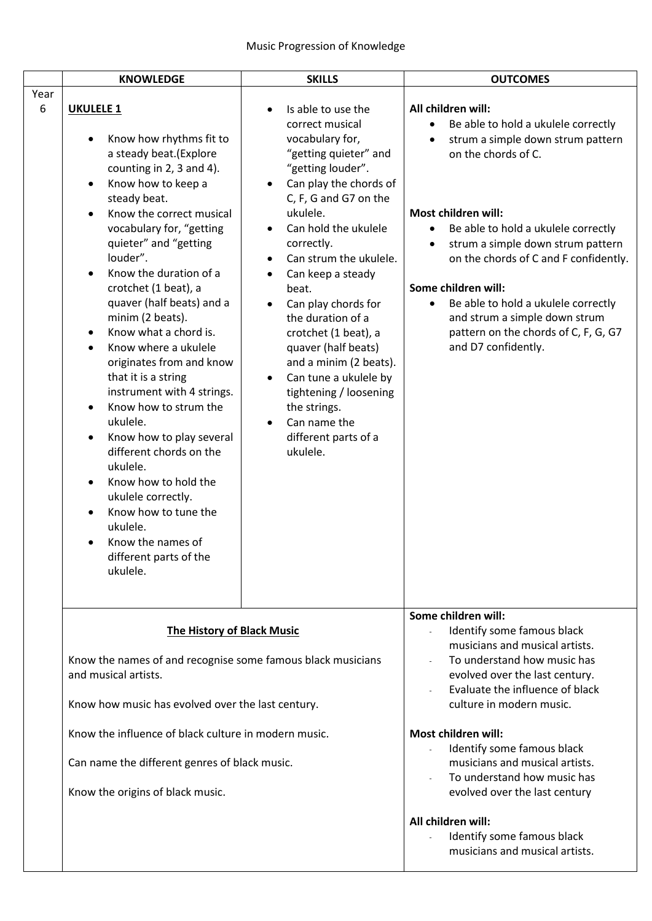|           | <b>KNOWLEDGE</b>                                                                                                                                                                                                                                                                                                                                                                                                                                                                                                                                                                                                                                                                                                                                                                                                                                    | <b>SKILLS</b>                                                                                                                                                                                                                                                                                                                                                                                                                                                                                                                                                                                                           | <b>OUTCOMES</b>                                                                                                                                                                                                                                                                                                                                                                                                                                           |
|-----------|-----------------------------------------------------------------------------------------------------------------------------------------------------------------------------------------------------------------------------------------------------------------------------------------------------------------------------------------------------------------------------------------------------------------------------------------------------------------------------------------------------------------------------------------------------------------------------------------------------------------------------------------------------------------------------------------------------------------------------------------------------------------------------------------------------------------------------------------------------|-------------------------------------------------------------------------------------------------------------------------------------------------------------------------------------------------------------------------------------------------------------------------------------------------------------------------------------------------------------------------------------------------------------------------------------------------------------------------------------------------------------------------------------------------------------------------------------------------------------------------|-----------------------------------------------------------------------------------------------------------------------------------------------------------------------------------------------------------------------------------------------------------------------------------------------------------------------------------------------------------------------------------------------------------------------------------------------------------|
| Year<br>6 | <b>UKULELE 1</b><br>Know how rhythms fit to<br>a steady beat.(Explore<br>counting in 2, 3 and 4).<br>Know how to keep a<br>$\bullet$<br>steady beat.<br>Know the correct musical<br>$\bullet$<br>vocabulary for, "getting<br>quieter" and "getting<br>louder".<br>Know the duration of a<br>$\bullet$<br>crotchet (1 beat), a<br>quaver (half beats) and a<br>minim (2 beats).<br>Know what a chord is.<br>$\bullet$<br>Know where a ukulele<br>$\bullet$<br>originates from and know<br>that it is a string<br>instrument with 4 strings.<br>Know how to strum the<br>$\bullet$<br>ukulele.<br>Know how to play several<br>$\bullet$<br>different chords on the<br>ukulele.<br>Know how to hold the<br>$\bullet$<br>ukulele correctly.<br>Know how to tune the<br>$\bullet$<br>ukulele.<br>Know the names of<br>different parts of the<br>ukulele. | Is able to use the<br>$\bullet$<br>correct musical<br>vocabulary for,<br>"getting quieter" and<br>"getting louder".<br>Can play the chords of<br>$\bullet$<br>C, F, G and G7 on the<br>ukulele.<br>Can hold the ukulele<br>$\bullet$<br>correctly.<br>Can strum the ukulele.<br>$\bullet$<br>Can keep a steady<br>$\bullet$<br>beat.<br>Can play chords for<br>$\bullet$<br>the duration of a<br>crotchet (1 beat), a<br>quaver (half beats)<br>and a minim (2 beats).<br>Can tune a ukulele by<br>$\bullet$<br>tightening / loosening<br>the strings.<br>Can name the<br>$\bullet$<br>different parts of a<br>ukulele. | All children will:<br>Be able to hold a ukulele correctly<br>strum a simple down strum pattern<br>$\bullet$<br>on the chords of C.<br>Most children will:<br>Be able to hold a ukulele correctly<br>strum a simple down strum pattern<br>on the chords of C and F confidently.<br>Some children will:<br>Be able to hold a ukulele correctly<br>$\bullet$<br>and strum a simple down strum<br>pattern on the chords of C, F, G, G7<br>and D7 confidently. |
|           | <b>The History of Black Music</b><br>Know the names of and recognise some famous black musicians<br>and musical artists.<br>Know how music has evolved over the last century.<br>Know the influence of black culture in modern music.<br>Can name the different genres of black music.                                                                                                                                                                                                                                                                                                                                                                                                                                                                                                                                                              |                                                                                                                                                                                                                                                                                                                                                                                                                                                                                                                                                                                                                         | Some children will:<br>Identify some famous black<br>musicians and musical artists.<br>To understand how music has<br>evolved over the last century.<br>Evaluate the influence of black<br>culture in modern music.<br><b>Most children will:</b><br>Identify some famous black<br>musicians and musical artists.<br>To understand how music has                                                                                                          |
|           | Know the origins of black music.                                                                                                                                                                                                                                                                                                                                                                                                                                                                                                                                                                                                                                                                                                                                                                                                                    |                                                                                                                                                                                                                                                                                                                                                                                                                                                                                                                                                                                                                         | evolved over the last century<br>All children will:<br>Identify some famous black<br>musicians and musical artists.                                                                                                                                                                                                                                                                                                                                       |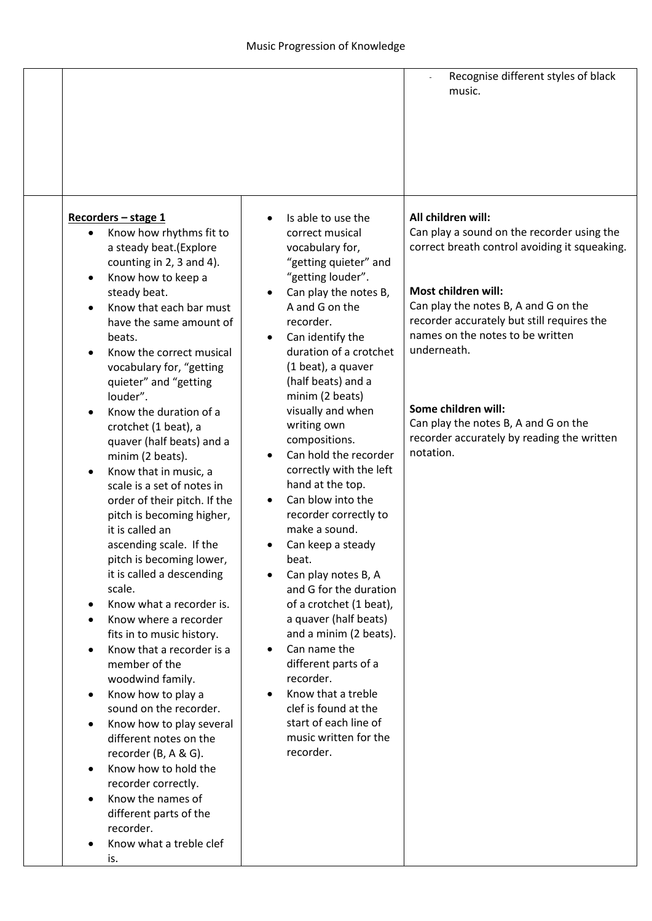|                                                                                                                                                                                                                                                                                                                                                                                                                                                                                                                                                                                                                                                                                                                                                                                                                                                                                                                                                                                                                                                                                                                                                                                                                                    |                                                                                                                                                                                                                                                                                                                                                                                                                                                                                                                                                                                                                                                                                                                                                                                                                                                                                                   | Recognise different styles of black<br>music.                                                                                                                                                                                                                                                                                                                                                               |
|------------------------------------------------------------------------------------------------------------------------------------------------------------------------------------------------------------------------------------------------------------------------------------------------------------------------------------------------------------------------------------------------------------------------------------------------------------------------------------------------------------------------------------------------------------------------------------------------------------------------------------------------------------------------------------------------------------------------------------------------------------------------------------------------------------------------------------------------------------------------------------------------------------------------------------------------------------------------------------------------------------------------------------------------------------------------------------------------------------------------------------------------------------------------------------------------------------------------------------|---------------------------------------------------------------------------------------------------------------------------------------------------------------------------------------------------------------------------------------------------------------------------------------------------------------------------------------------------------------------------------------------------------------------------------------------------------------------------------------------------------------------------------------------------------------------------------------------------------------------------------------------------------------------------------------------------------------------------------------------------------------------------------------------------------------------------------------------------------------------------------------------------|-------------------------------------------------------------------------------------------------------------------------------------------------------------------------------------------------------------------------------------------------------------------------------------------------------------------------------------------------------------------------------------------------------------|
| Recorders - stage 1<br>Know how rhythms fit to<br>a steady beat.(Explore<br>counting in 2, 3 and 4).<br>Know how to keep a<br>$\bullet$<br>steady beat.<br>Know that each bar must<br>$\bullet$<br>have the same amount of<br>beats.<br>Know the correct musical<br>$\bullet$<br>vocabulary for, "getting<br>quieter" and "getting<br>louder".<br>Know the duration of a<br>$\bullet$<br>crotchet (1 beat), a<br>quaver (half beats) and a<br>minim (2 beats).<br>Know that in music, a<br>$\bullet$<br>scale is a set of notes in<br>order of their pitch. If the<br>pitch is becoming higher,<br>it is called an<br>ascending scale. If the<br>pitch is becoming lower,<br>it is called a descending<br>scale.<br>Know what a recorder is.<br>٠<br>Know where a recorder<br>$\bullet$<br>fits in to music history.<br>Know that a recorder is a<br>$\bullet$<br>member of the<br>woodwind family.<br>Know how to play a<br>$\bullet$<br>sound on the recorder.<br>Know how to play several<br>$\bullet$<br>different notes on the<br>recorder (B, A & G).<br>Know how to hold the<br>$\bullet$<br>recorder correctly.<br>Know the names of<br>$\bullet$<br>different parts of the<br>recorder.<br>Know what a treble clef<br>is. | Is able to use the<br>correct musical<br>vocabulary for,<br>"getting quieter" and<br>"getting louder".<br>Can play the notes B,<br>$\bullet$<br>A and G on the<br>recorder.<br>Can identify the<br>$\bullet$<br>duration of a crotchet<br>(1 beat), a quaver<br>(half beats) and a<br>minim (2 beats)<br>visually and when<br>writing own<br>compositions.<br>Can hold the recorder<br>$\bullet$<br>correctly with the left<br>hand at the top.<br>Can blow into the<br>$\bullet$<br>recorder correctly to<br>make a sound.<br>Can keep a steady<br>beat.<br>Can play notes B, A<br>$\bullet$<br>and G for the duration<br>of a crotchet (1 beat),<br>a quaver (half beats)<br>and a minim (2 beats).<br>Can name the<br>$\bullet$<br>different parts of a<br>recorder.<br>Know that a treble<br>$\bullet$<br>clef is found at the<br>start of each line of<br>music written for the<br>recorder. | All children will:<br>Can play a sound on the recorder using the<br>correct breath control avoiding it squeaking.<br>Most children will:<br>Can play the notes B, A and G on the<br>recorder accurately but still requires the<br>names on the notes to be written<br>underneath.<br>Some children will:<br>Can play the notes B, A and G on the<br>recorder accurately by reading the written<br>notation. |